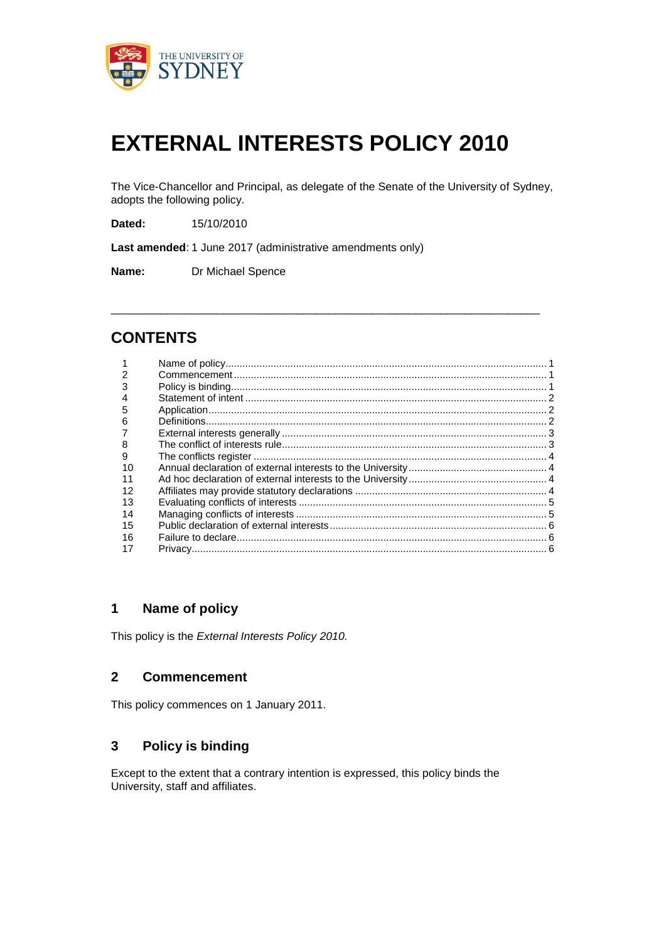

# **EXTERNAL INTERESTS POLICY 2010**

The Vice-Chancellor and Principal, as delegate of the Senate of the University of Sydney, adopts the following policy.

\_\_\_\_\_\_\_\_\_\_\_\_\_\_\_\_\_\_\_\_\_\_\_\_\_\_\_\_\_\_\_\_\_\_\_\_\_\_\_\_\_\_\_\_\_\_\_\_\_\_\_\_\_\_\_\_\_\_\_\_\_\_\_\_\_\_\_\_\_

**Dated:** 15/10/2010

**Last amended**: 1 June 2017 (administrative amendments only)

**Name:** Dr Michael Spence

## **CONTENTS**

| 5  |  |
|----|--|
| 6  |  |
|    |  |
| 8  |  |
| 9  |  |
| 10 |  |
|    |  |
| 12 |  |
| 13 |  |
| 14 |  |
| 15 |  |
| 16 |  |
|    |  |

## **Name of policy**

This policy is the *External Interests Policy 2010.*

#### **Commencement**

This policy commences on 1 January 2011.

#### **Policy is binding**

Except to the extent that a contrary intention is expressed, this policy binds the University, staff and affiliates.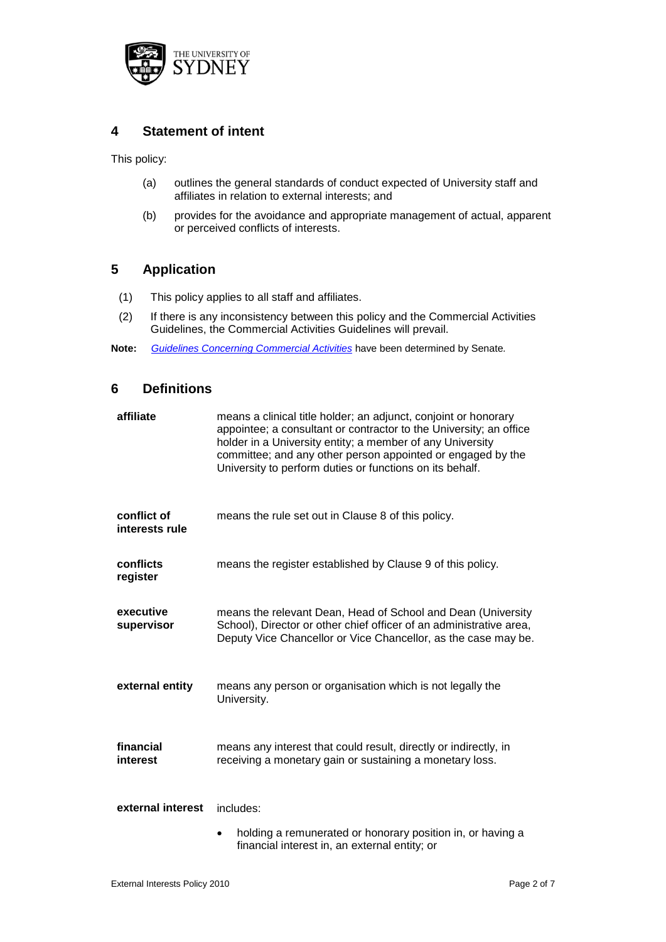

## **4 Statement of intent**

This policy:

- (a) outlines the general standards of conduct expected of University staff and affiliates in relation to external interests; and
- (b) provides for the avoidance and appropriate management of actual, apparent or perceived conflicts of interests.

## **5 Application**

- (1) This policy applies to all staff and affiliates.
- (2) If there is any inconsistency between this policy and the Commercial Activities Guidelines, the Commercial Activities Guidelines will prevail.
- **Note:** *Guidelines Concerning Commercial Activities* have been determined by Senate*.*

#### **6 Definitions**

| affiliate                     | means a clinical title holder; an adjunct, conjoint or honorary<br>appointee; a consultant or contractor to the University; an office<br>holder in a University entity; a member of any University<br>committee; and any other person appointed or engaged by the<br>University to perform duties or functions on its behalf. |
|-------------------------------|-------------------------------------------------------------------------------------------------------------------------------------------------------------------------------------------------------------------------------------------------------------------------------------------------------------------------------|
| conflict of<br>interests rule | means the rule set out in Clause 8 of this policy.                                                                                                                                                                                                                                                                            |
| conflicts<br>register         | means the register established by Clause 9 of this policy.                                                                                                                                                                                                                                                                    |
| executive<br>supervisor       | means the relevant Dean, Head of School and Dean (University<br>School), Director or other chief officer of an administrative area,<br>Deputy Vice Chancellor or Vice Chancellor, as the case may be.                                                                                                                         |
| external entity               | means any person or organisation which is not legally the<br>University.                                                                                                                                                                                                                                                      |
| financial<br>interest         | means any interest that could result, directly or indirectly, in<br>receiving a monetary gain or sustaining a monetary loss.                                                                                                                                                                                                  |
| external interest             | includes:                                                                                                                                                                                                                                                                                                                     |
|                               | holding a remunerated or honorary position in, or having a<br>financial interest in, an external entity; or                                                                                                                                                                                                                   |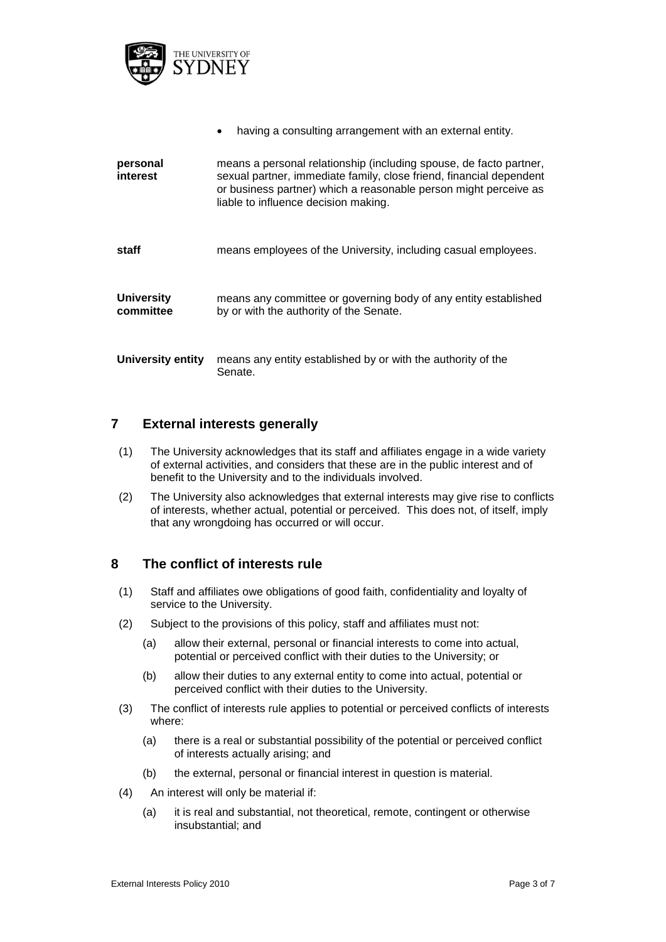

|                                | having a consulting arrangement with an external entity.                                                                                                                                                                                              |
|--------------------------------|-------------------------------------------------------------------------------------------------------------------------------------------------------------------------------------------------------------------------------------------------------|
| personal<br>interest           | means a personal relationship (including spouse, de facto partner,<br>sexual partner, immediate family, close friend, financial dependent<br>or business partner) which a reasonable person might perceive as<br>liable to influence decision making. |
| staff                          | means employees of the University, including casual employees.                                                                                                                                                                                        |
| <b>University</b><br>committee | means any committee or governing body of any entity established<br>by or with the authority of the Senate.                                                                                                                                            |
| University entity              | means any entity established by or with the authority of the<br>Senate.                                                                                                                                                                               |

## **7 External interests generally**

- (1) The University acknowledges that its staff and affiliates engage in a wide variety of external activities, and considers that these are in the public interest and of benefit to the University and to the individuals involved.
- (2) The University also acknowledges that external interests may give rise to conflicts of interests, whether actual, potential or perceived. This does not, of itself, imply that any wrongdoing has occurred or will occur.

## **8 The conflict of interests rule**

- (1) Staff and affiliates owe obligations of good faith, confidentiality and loyalty of service to the University.
- (2) Subject to the provisions of this policy, staff and affiliates must not:
	- (a) allow their external, personal or financial interests to come into actual, potential or perceived conflict with their duties to the University; or
	- (b) allow their duties to any external entity to come into actual, potential or perceived conflict with their duties to the University.
- (3) The conflict of interests rule applies to potential or perceived conflicts of interests where:
	- (a) there is a real or substantial possibility of the potential or perceived conflict of interests actually arising; and
	- (b) the external, personal or financial interest in question is material.
- (4) An interest will only be material if:
	- (a) it is real and substantial, not theoretical, remote, contingent or otherwise insubstantial; and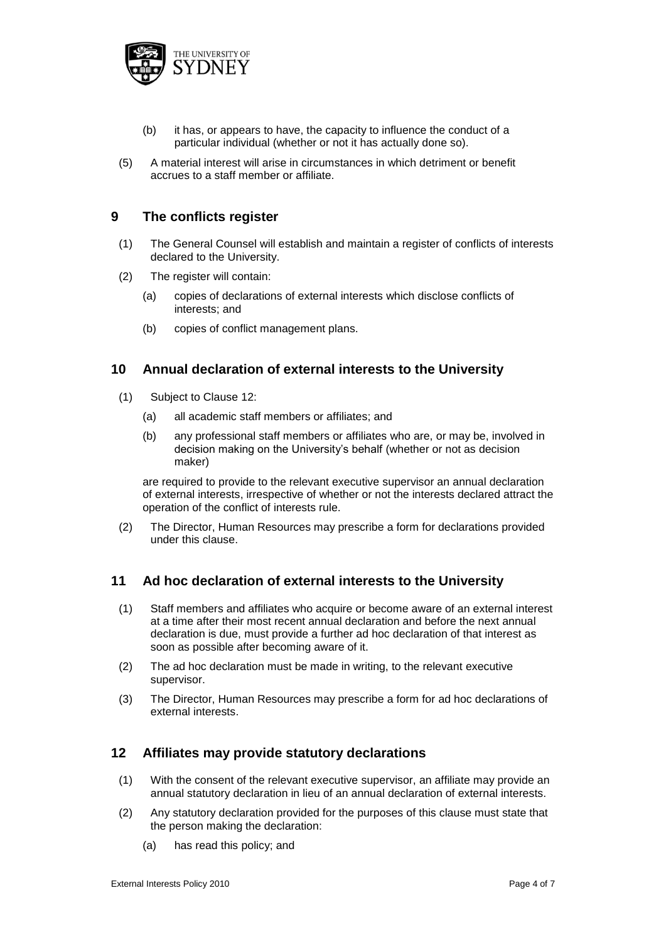

- (b) it has, or appears to have, the capacity to influence the conduct of a particular individual (whether or not it has actually done so).
- (5) A material interest will arise in circumstances in which detriment or benefit accrues to a staff member or affiliate.

#### **9 The conflicts register**

- (1) The General Counsel will establish and maintain a register of conflicts of interests declared to the University.
- (2) The register will contain:
	- (a) copies of declarations of external interests which disclose conflicts of interests; and
	- (b) copies of conflict management plans.

#### **10 Annual declaration of external interests to the University**

- (1) Subject to Clause 12:
	- (a) all academic staff members or affiliates; and
	- (b) any professional staff members or affiliates who are, or may be, involved in decision making on the University's behalf (whether or not as decision maker)

are required to provide to the relevant executive supervisor an annual declaration of external interests, irrespective of whether or not the interests declared attract the operation of the conflict of interests rule.

(2) The Director, Human Resources may prescribe a form for declarations provided under this clause.

#### **11 Ad hoc declaration of external interests to the University**

- (1) Staff members and affiliates who acquire or become aware of an external interest at a time after their most recent annual declaration and before the next annual declaration is due, must provide a further ad hoc declaration of that interest as soon as possible after becoming aware of it.
- (2) The ad hoc declaration must be made in writing, to the relevant executive supervisor.
- (3) The Director, Human Resources may prescribe a form for ad hoc declarations of external interests.

#### **12 Affiliates may provide statutory declarations**

- (1) With the consent of the relevant executive supervisor, an affiliate may provide an annual statutory declaration in lieu of an annual declaration of external interests.
- (2) Any statutory declaration provided for the purposes of this clause must state that the person making the declaration:
	- (a) has read this policy; and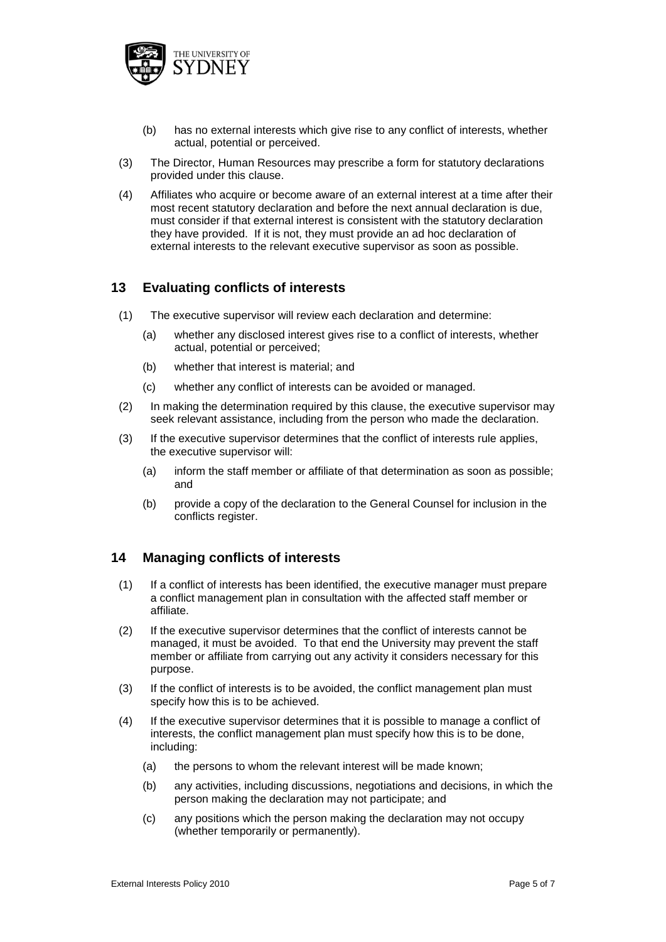

- (b) has no external interests which give rise to any conflict of interests, whether actual, potential or perceived.
- (3) The Director, Human Resources may prescribe a form for statutory declarations provided under this clause.
- (4) Affiliates who acquire or become aware of an external interest at a time after their most recent statutory declaration and before the next annual declaration is due, must consider if that external interest is consistent with the statutory declaration they have provided. If it is not, they must provide an ad hoc declaration of external interests to the relevant executive supervisor as soon as possible.

#### **13 Evaluating conflicts of interests**

- (1) The executive supervisor will review each declaration and determine:
	- (a) whether any disclosed interest gives rise to a conflict of interests, whether actual, potential or perceived;
	- (b) whether that interest is material; and
	- (c) whether any conflict of interests can be avoided or managed.
- (2) In making the determination required by this clause, the executive supervisor may seek relevant assistance, including from the person who made the declaration.
- (3) If the executive supervisor determines that the conflict of interests rule applies, the executive supervisor will:
	- (a) inform the staff member or affiliate of that determination as soon as possible; and
	- (b) provide a copy of the declaration to the General Counsel for inclusion in the conflicts register.

#### **14 Managing conflicts of interests**

- (1) If a conflict of interests has been identified, the executive manager must prepare a conflict management plan in consultation with the affected staff member or affiliate.
- (2) If the executive supervisor determines that the conflict of interests cannot be managed, it must be avoided. To that end the University may prevent the staff member or affiliate from carrying out any activity it considers necessary for this purpose.
- (3) If the conflict of interests is to be avoided, the conflict management plan must specify how this is to be achieved.
- (4) If the executive supervisor determines that it is possible to manage a conflict of interests, the conflict management plan must specify how this is to be done, including:
	- (a) the persons to whom the relevant interest will be made known;
	- (b) any activities, including discussions, negotiations and decisions, in which the person making the declaration may not participate; and
	- (c) any positions which the person making the declaration may not occupy (whether temporarily or permanently).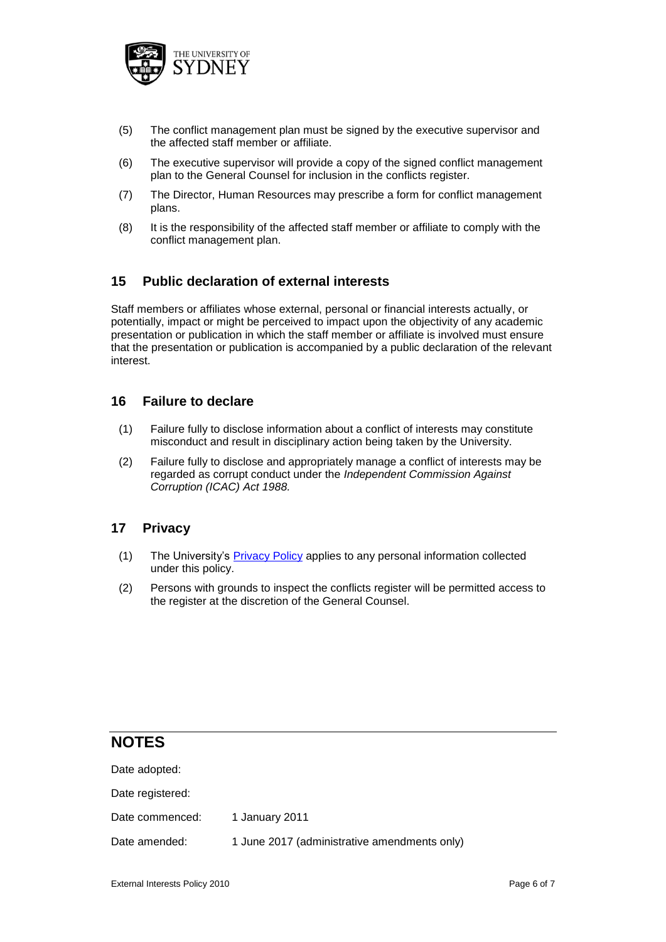

- (5) The conflict management plan must be signed by the executive supervisor and the affected staff member or affiliate.
- (6) The executive supervisor will provide a copy of the signed conflict management plan to the General Counsel for inclusion in the conflicts register.
- (7) The Director, Human Resources may prescribe a form for conflict management plans.
- (8) It is the responsibility of the affected staff member or affiliate to comply with the conflict management plan.

#### **15 Public declaration of external interests**

Staff members or affiliates whose external, personal or financial interests actually, or potentially, impact or might be perceived to impact upon the objectivity of any academic presentation or publication in which the staff member or affiliate is involved must ensure that the presentation or publication is accompanied by a public declaration of the relevant interest.

#### **16 Failure to declare**

- (1) Failure fully to disclose information about a conflict of interests may constitute misconduct and result in disciplinary action being taken by the University.
- (2) Failure fully to disclose and appropriately manage a conflict of interests may be regarded as corrupt conduct under the *Independent Commission Against Corruption (ICAC) Act 1988.*

#### **17 Privacy**

- (1) The University's Privacy Policy applies to any personal information collected under this policy.
- (2) Persons with grounds to inspect the conflicts register will be permitted access to the register at the discretion of the General Counsel.

## **NOTES**

| 1 January 2011                               |
|----------------------------------------------|
| 1 June 2017 (administrative amendments only) |
|                                              |